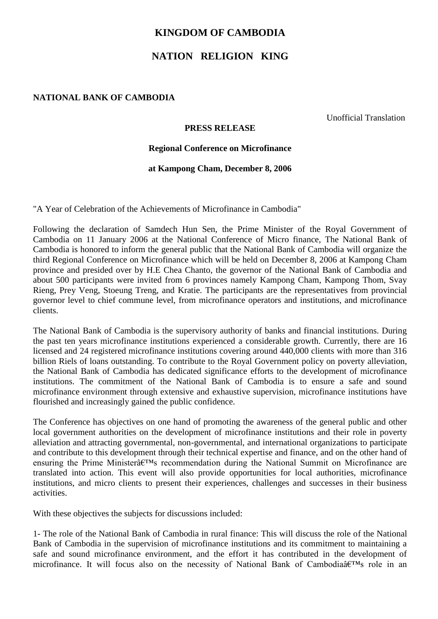## **KINGDOM OF CAMBODIA**

# **NATION RELIGION KING**

### **NATIONAL BANK OF CAMBODIA**

Unofficial Translation

#### **PRESS RELEASE**

#### **Regional Conference on Microfinance**

#### **at Kampong Cham, December 8, 2006**

"A Year of Celebration of the Achievements of Microfinance in Cambodia"

Following the declaration of Samdech Hun Sen, the Prime Minister of the Royal Government of Cambodia on 11 January 2006 at the National Conference of Micro finance, The National Bank of Cambodia is honored to inform the general public that the National Bank of Cambodia will organize the third Regional Conference on Microfinance which will be held on December 8, 2006 at Kampong Cham province and presided over by H.E Chea Chanto, the governor of the National Bank of Cambodia and about 500 participants were invited from 6 provinces namely Kampong Cham, Kampong Thom, Svay Rieng, Prey Veng, Stoeung Treng, and Kratie. The participants are the representatives from provincial governor level to chief commune level, from microfinance operators and institutions, and microfinance clients.

The National Bank of Cambodia is the supervisory authority of banks and financial institutions. During the past ten years microfinance institutions experienced a considerable growth. Currently, there are 16 licensed and 24 registered microfinance institutions covering around 440,000 clients with more than 316 billion Riels of loans outstanding. To contribute to the Royal Government policy on poverty alleviation, the National Bank of Cambodia has dedicated significance efforts to the development of microfinance institutions. The commitment of the National Bank of Cambodia is to ensure a safe and sound microfinance environment through extensive and exhaustive supervision, microfinance institutions have flourished and increasingly gained the public confidence.

The Conference has objectives on one hand of promoting the awareness of the general public and other local government authorities on the development of microfinance institutions and their role in poverty alleviation and attracting governmental, non-governmental, and international organizations to participate and contribute to this development through their technical expertise and finance, and on the other hand of ensuring the Prime Minister $\hat{a} \in T^{M}$ s recommendation during the National Summit on Microfinance are translated into action. This event will also provide opportunities for local authorities, microfinance institutions, and micro clients to present their experiences, challenges and successes in their business activities.

With these objectives the subjects for discussions included:

1- The role of the National Bank of Cambodia in rural finance: This will discuss the role of the National Bank of Cambodia in the supervision of microfinance institutions and its commitment to maintaining a safe and sound microfinance environment, and the effort it has contributed in the development of microfinance. It will focus also on the necessity of National Bank of Cambodiaâ $\in$ <sup>TM</sup>s role in an